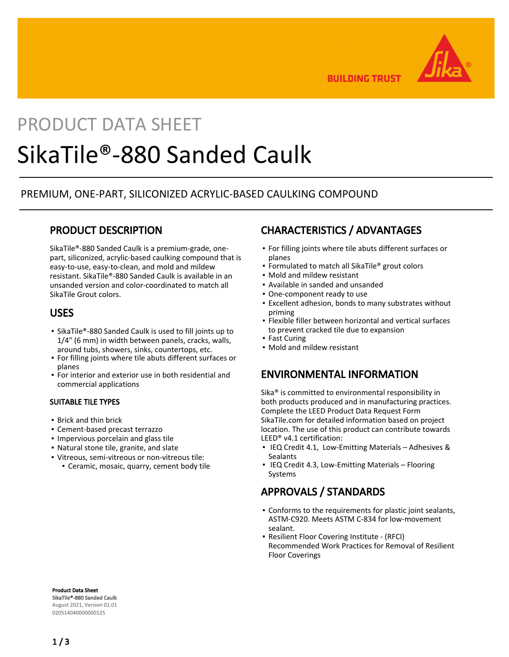

**BUILDING TRUST** 

# PRODUCT DATA SHEET SikaTile®-880 Sanded Caulk

## PREMIUM, ONE-PART, SILICONIZED ACRYLIC-BASED CAULKING COMPOUND

# PRODUCT DESCRIPTION

SikaTile®-880 Sanded Caulk is a premium-grade, onepart, siliconized, acrylic-based caulking compound that is easy-to-use, easy-to-clean, and mold and mildew resistant. SikaTile®-880 Sanded Caulk is available in an unsanded version and color-coordinated to match all SikaTile Grout colors.

### USES

- SikaTile®-880 Sanded Caulk is used to fill joints up to 1/4" (6 mm) in width between panels, cracks, walls, around tubs, showers, sinks, countertops, etc.
- For filling joints where tile abuts different surfaces or planes
- For interior and exterior use in both residential and commercial applications

### SUITABLE TILE TYPES

- **Brick and thin brick**
- Cement-based precast terrazzo
- Impervious porcelain and glass tile
- Natural stone tile, granite, and slate
- Vitreous, semi-vitreous or non-vitreous tile:
	- Ceramic, mosaic, quarry, cement body tile

# CHARACTERISTICS / ADVANTAGES

- For filling joints where tile abuts different surfaces or planes
- **Formulated to match all SikaTile® grout colors**
- Mold and mildew resistant
- Available in sanded and unsanded
- One-component ready to use
- Excellent adhesion, bonds to many substrates without priming
- Flexible filler between horizontal and vertical surfaces to prevent cracked tile due to expansion
- **East Curing**
- Mold and mildew resistant

## ENVIRONMENTAL INFORMATION

Sika® is committed to environmental responsibility in both products produced and in manufacturing practices. Complete the LEED Product Data Request Form SikaTile.com for detailed information based on project location. The use of this product can contribute towards LEED® v4.1 certification:

- **IEQ Credit 4.1, Low-Emitting Materials Adhesives &** Sealants
- **IEQ Credit 4.3, Low-Emitting Materials Flooring** Systems

# APPROVALS / STANDARDS

- Conforms to the requirements for plastic joint sealants, ASTM-C920. Meets ASTM C-834 for low-movement sealant.
- Resilient Floor Covering Institute (RFCI) Recommended Work Practices for Removal of Resilient Floor Coverings

Product Data Sheet SikaTile®-880 Sanded Caulk August 2021, Version 01.01 020514040000000125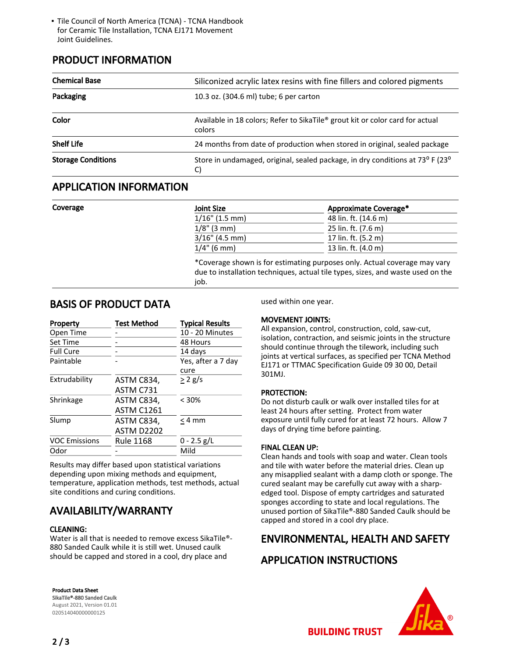Tile Council of North America (TCNA) - TCNA Handbook ▪ for Ceramic Tile Installation, TCNA EJ171 Movement Joint Guidelines.

## PRODUCT INFORMATION

| <b>Chemical Base</b>      | Siliconized acrylic latex resins with fine fillers and colored pigments                 |  |
|---------------------------|-----------------------------------------------------------------------------------------|--|
| Packaging                 | 10.3 oz. (304.6 ml) tube; 6 per carton                                                  |  |
| Color                     | Available in 18 colors; Refer to SikaTile® grout kit or color card for actual<br>colors |  |
| <b>Shelf Life</b>         | 24 months from date of production when stored in original, sealed package               |  |
| <b>Storage Conditions</b> | Store in undamaged, original, sealed package, in dry conditions at 73° F (23°<br>C)     |  |

### APPLICATION INFORMATION

| Coverage | <b>Joint Size</b> | Approximate Coverage*                                                     |
|----------|-------------------|---------------------------------------------------------------------------|
|          | $1/16$ " (1.5 mm) | 48 lin. ft. (14.6 m)                                                      |
|          | $1/8$ " (3 mm)    | 25 lin. ft. (7.6 m)                                                       |
|          | $3/16$ " (4.5 mm) | 17 lin. ft. (5.2 m)                                                       |
|          | $1/4$ " (6 mm)    | 13 lin. ft. (4.0 m)                                                       |
|          |                   | *Coverage shown is for estimating purposes only. Actual coverage may vary |

due to installation techniques, actual tile types, sizes, and waste used on the job.

### BASIS OF PRODUCT DATA

| Property             | <b>Test Method</b> | <b>Typical Results</b>     |
|----------------------|--------------------|----------------------------|
| Open Time            |                    | 10 - 20 Minutes            |
| Set Time             |                    | 48 Hours                   |
| <b>Full Cure</b>     |                    | 14 days                    |
| Paintable            |                    | Yes, after a 7 dav<br>cure |
| Extrudability        | ASTM C834,         | $> 2$ g/s                  |
|                      | ASTM C731          |                            |
| Shrinkage            | ASTM C834.         | $< 30\%$                   |
|                      | <b>ASTM C1261</b>  |                            |
| Slump                | ASTM C834,         | $< 4$ mm                   |
|                      | ASTM D2202         |                            |
| <b>VOC Emissions</b> | <b>Rule 1168</b>   | $0 - 2.5$ g/L              |
| Odor                 |                    | Mild                       |

Results may differ based upon statistical variations depending upon mixing methods and equipment, temperature, application methods, test methods, actual site conditions and curing conditions.

# AVAILABILITY/WARRANTY

### CLEANING:

Water is all that is needed to remove excess SikaTile®- 880 Sanded Caulk while it is still wet. Unused caulk should be capped and stored in a cool, dry place and

#### Product Data Sheet SikaTile®-880 Sanded Caulk

August 2021, Version 01.01 020514040000000125

used within one year.

### MOVEMENT JOINTS:

All expansion, control, construction, cold, saw-cut, isolation, contraction, and seismic joints in the structure should continue through the tilework, including such joints at vertical surfaces, as specified per TCNA Method EJ171 or TTMAC Specification Guide 09 30 00, Detail 301MJ.

### PROTECTION:

Do not disturb caulk or walk over installed tiles for at least 24 hours after setting. Protect from water exposure until fully cured for at least 72 hours. Allow 7 days of drying time before painting.

### FINAL CLEAN UP:

Clean hands and tools with soap and water. Clean tools and tile with water before the material dries. Clean up any misapplied sealant with a damp cloth or sponge. The cured sealant may be carefully cut away with a sharpedged tool. Dispose of empty cartridges and saturated sponges according to state and local regulations. The unused portion of SikaTile®-880 Sanded Caulk should be capped and stored in a cool dry place.

# ENVIRONMENTAL, HEALTH AND SAFETY

## APPLICATION INSTRUCTIONS



**BUILDING TRUST**